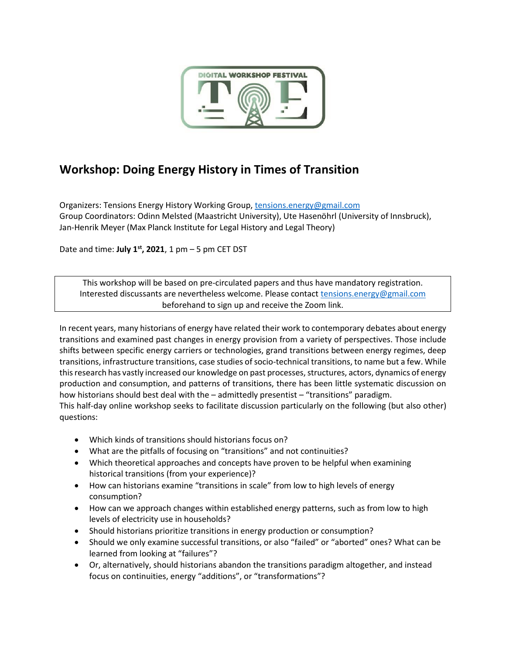

# **Workshop: Doing Energy History in Times of Transition**

Organizers: Tensions Energy History Working Group[, tensions.energy@gmail.com](mailto:tensions.energy@gmail.com) Group Coordinators: Odinn Melsted (Maastricht University), Ute Hasenöhrl (University of Innsbruck), Jan-Henrik Meyer (Max Planck Institute for Legal History and Legal Theory)

Date and time: **July 1 st , 2021**, 1 pm – 5 pm CET DST

This workshop will be based on pre-circulated papers and thus have mandatory registration. Interested discussants are nevertheless welcome. Please contact [tensions.energy@gmail.com](mailto:tensions.energy@gmail.com) beforehand to sign up and receive the Zoom link.

In recent years, many historians of energy have related their work to contemporary debates about energy transitions and examined past changes in energy provision from a variety of perspectives. Those include shifts between specific energy carriers or technologies, grand transitions between energy regimes, deep transitions, infrastructure transitions, case studies of socio-technical transitions, to name but a few. While this research has vastly increased our knowledge on past processes, structures, actors, dynamics of energy production and consumption, and patterns of transitions, there has been little systematic discussion on how historians should best deal with the – admittedly presentist – "transitions" paradigm. This half-day online workshop seeks to facilitate discussion particularly on the following (but also other)

questions:

- Which kinds of transitions should historians focus on?
- What are the pitfalls of focusing on "transitions" and not continuities?
- Which theoretical approaches and concepts have proven to be helpful when examining historical transitions (from your experience)?
- How can historians examine "transitions in scale" from low to high levels of energy consumption?
- How can we approach changes within established energy patterns, such as from low to high levels of electricity use in households?
- Should historians prioritize transitions in energy production or consumption?
- Should we only examine successful transitions, or also "failed" or "aborted" ones? What can be learned from looking at "failures"?
- Or, alternatively, should historians abandon the transitions paradigm altogether, and instead focus on continuities, energy "additions", or "transformations"?